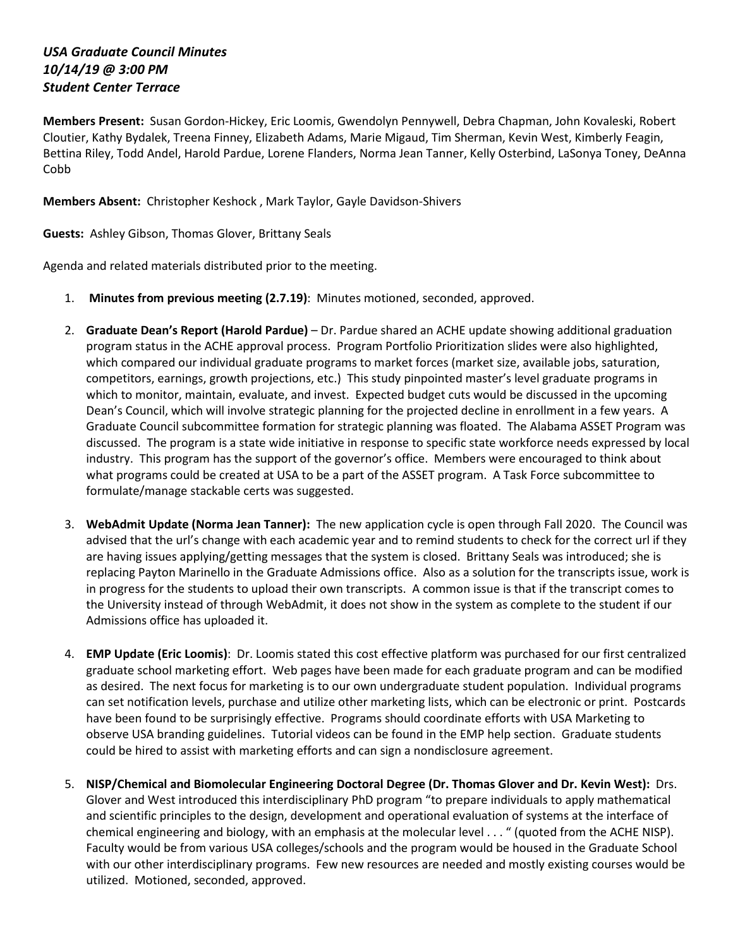## *USA Graduate Council Minutes 10/14/19 @ 3:00 PM Student Center Terrace*

**Members Present:** Susan Gordon-Hickey, Eric Loomis, Gwendolyn Pennywell, Debra Chapman, John Kovaleski, Robert Cloutier, Kathy Bydalek, Treena Finney, Elizabeth Adams, Marie Migaud, Tim Sherman, Kevin West, Kimberly Feagin, Bettina Riley, Todd Andel, Harold Pardue, Lorene Flanders, Norma Jean Tanner, Kelly Osterbind, LaSonya Toney, DeAnna Cobb

**Members Absent:** Christopher Keshock , Mark Taylor, Gayle Davidson-Shivers

**Guests:** Ashley Gibson, Thomas Glover, Brittany Seals

Agenda and related materials distributed prior to the meeting.

- 1. **Minutes from previous meeting (2.7.19)**: Minutes motioned, seconded, approved.
- 2. **Graduate Dean's Report (Harold Pardue)** Dr. Pardue shared an ACHE update showing additional graduation program status in the ACHE approval process. Program Portfolio Prioritization slides were also highlighted, which compared our individual graduate programs to market forces (market size, available jobs, saturation, competitors, earnings, growth projections, etc.) This study pinpointed master's level graduate programs in which to monitor, maintain, evaluate, and invest. Expected budget cuts would be discussed in the upcoming Dean's Council, which will involve strategic planning for the projected decline in enrollment in a few years. A Graduate Council subcommittee formation for strategic planning was floated. The Alabama ASSET Program was discussed. The program is a state wide initiative in response to specific state workforce needs expressed by local industry. This program has the support of the governor's office. Members were encouraged to think about what programs could be created at USA to be a part of the ASSET program. A Task Force subcommittee to formulate/manage stackable certs was suggested.
- 3. **WebAdmit Update (Norma Jean Tanner):** The new application cycle is open through Fall 2020. The Council was advised that the url's change with each academic year and to remind students to check for the correct url if they are having issues applying/getting messages that the system is closed. Brittany Seals was introduced; she is replacing Payton Marinello in the Graduate Admissions office. Also as a solution for the transcripts issue, work is in progress for the students to upload their own transcripts. A common issue is that if the transcript comes to the University instead of through WebAdmit, it does not show in the system as complete to the student if our Admissions office has uploaded it.
- 4. **EMP Update (Eric Loomis)**: Dr. Loomis stated this cost effective platform was purchased for our first centralized graduate school marketing effort. Web pages have been made for each graduate program and can be modified as desired. The next focus for marketing is to our own undergraduate student population. Individual programs can set notification levels, purchase and utilize other marketing lists, which can be electronic or print. Postcards have been found to be surprisingly effective. Programs should coordinate efforts with USA Marketing to observe USA branding guidelines. Tutorial videos can be found in the EMP help section. Graduate students could be hired to assist with marketing efforts and can sign a nondisclosure agreement.
- 5. **NISP/Chemical and Biomolecular Engineering Doctoral Degree (Dr. Thomas Glover and Dr. Kevin West):** Drs. Glover and West introduced this interdisciplinary PhD program "to prepare individuals to apply mathematical and scientific principles to the design, development and operational evaluation of systems at the interface of chemical engineering and biology, with an emphasis at the molecular level . . . " (quoted from the ACHE NISP). Faculty would be from various USA colleges/schools and the program would be housed in the Graduate School with our other interdisciplinary programs. Few new resources are needed and mostly existing courses would be utilized. Motioned, seconded, approved.